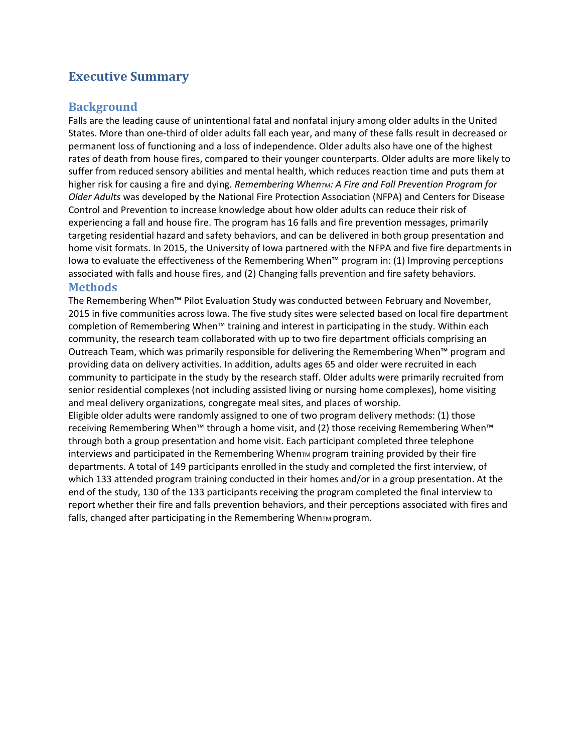# **Executive Summary**

## **Background**

Falls are the leading cause of unintentional fatal and nonfatal injury among older adults in the United States. More than one-third of older adults fall each year, and many of these falls result in decreased or permanent loss of functioning and a loss of independence. Older adults also have one of the highest rates of death from house fires, compared to their younger counterparts. Older adults are more likely to suffer from reduced sensory abilities and mental health, which reduces reaction time and puts them at higher risk for causing a fire and dying. *Remembering When<sub>TM</sub>: A Fire and Fall Prevention Program for Older Adults* was developed by the National Fire Protection Association (NFPA) and Centers for Disease Control and Prevention to increase knowledge about how older adults can reduce their risk of experiencing a fall and house fire. The program has 16 falls and fire prevention messages, primarily targeting residential hazard and safety behaviors, and can be delivered in both group presentation and home visit formats. In 2015, the University of Iowa partnered with the NFPA and five fire departments in Iowa to evaluate the effectiveness of the Remembering When™ program in: (1) Improving perceptions associated with falls and house fires, and (2) Changing falls prevention and fire safety behaviors. **Methods** 

The Remembering When™ Pilot Evaluation Study was conducted between February and November, 2015 in five communities across Iowa. The five study sites were selected based on local fire department completion of Remembering When™ training and interest in participating in the study. Within each community, the research team collaborated with up to two fire department officials comprising an Outreach Team, which was primarily responsible for delivering the Remembering When™ program and providing data on delivery activities. In addition, adults ages 65 and older were recruited in each community to participate in the study by the research staff. Older adults were primarily recruited from senior residential complexes (not including assisted living or nursing home complexes), home visiting and meal delivery organizations, congregate meal sites, and places of worship.

Eligible older adults were randomly assigned to one of two program delivery methods: (1) those receiving Remembering When™ through a home visit, and (2) those receiving Remembering When™ through both a group presentation and home visit. Each participant completed three telephone interviews and participated in the Remembering WhenTM program training provided by their fire departments. A total of 149 participants enrolled in the study and completed the first interview, of which 133 attended program training conducted in their homes and/or in a group presentation. At the end of the study, 130 of the 133 participants receiving the program completed the final interview to report whether their fire and falls prevention behaviors, and their perceptions associated with fires and falls, changed after participating in the Remembering When $\tau$ M program.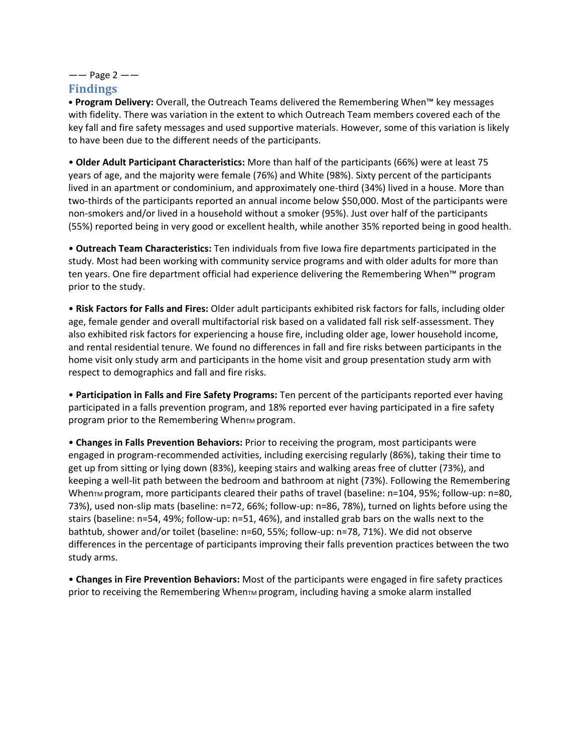# $--$  Page 2  $--$

## **Findings**

• **Program Delivery:** Overall, the Outreach Teams delivered the Remembering When™ key messages with fidelity. There was variation in the extent to which Outreach Team members covered each of the key fall and fire safety messages and used supportive materials. However, some of this variation is likely to have been due to the different needs of the participants.

• **Older Adult Participant Characteristics:** More than half of the participants (66%) were at least 75 years of age, and the majority were female (76%) and White (98%). Sixty percent of the participants lived in an apartment or condominium, and approximately one-third (34%) lived in a house. More than two-thirds of the participants reported an annual income below \$50,000. Most of the participants were non-smokers and/or lived in a household without a smoker (95%). Just over half of the participants (55%) reported being in very good or excellent health, while another 35% reported being in good health.

• **Outreach Team Characteristics:** Ten individuals from five Iowa fire departments participated in the study. Most had been working with community service programs and with older adults for more than ten years. One fire department official had experience delivering the Remembering When™ program prior to the study.

• **Risk Factors for Falls and Fires:** Older adult participants exhibited risk factors for falls, including older age, female gender and overall multifactorial risk based on a validated fall risk self-assessment. They also exhibited risk factors for experiencing a house fire, including older age, lower household income, and rental residential tenure. We found no differences in fall and fire risks between participants in the home visit only study arm and participants in the home visit and group presentation study arm with respect to demographics and fall and fire risks.

• **Participation in Falls and Fire Safety Programs:** Ten percent of the participants reported ever having participated in a falls prevention program, and 18% reported ever having participated in a fire safety program prior to the Remembering When $TM$  program.

• **Changes in Falls Prevention Behaviors:** Prior to receiving the program, most participants were engaged in program-recommended activities, including exercising regularly (86%), taking their time to get up from sitting or lying down (83%), keeping stairs and walking areas free of clutter (73%), and keeping a well-lit path between the bedroom and bathroom at night (73%). Following the Remembering When $\tau$ M program, more participants cleared their paths of travel (baseline:  $n=104$ , 95%; follow-up:  $n=80$ , 73%), used non-slip mats (baseline: n=72, 66%; follow-up: n=86, 78%), turned on lights before using the stairs (baseline: n=54, 49%; follow-up: n=51, 46%), and installed grab bars on the walls next to the bathtub, shower and/or toilet (baseline: n=60, 55%; follow-up: n=78, 71%). We did not observe differences in the percentage of participants improving their falls prevention practices between the two study arms.

• **Changes in Fire Prevention Behaviors:** Most of the participants were engaged in fire safety practices prior to receiving the Remembering When $\tau_M$  program, including having a smoke alarm installed